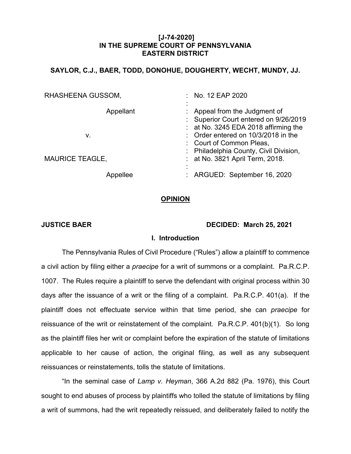### **[J-74-2020] IN THE SUPREME COURT OF PENNSYLVANIA EASTERN DISTRICT**

# **SAYLOR, C.J., BAER, TODD, DONOHUE, DOUGHERTY, WECHT, MUNDY, JJ.**

| RHASHEENA GUSSOM,      | : No. 12 EAP 2020                                                                                                                                                                 |
|------------------------|-----------------------------------------------------------------------------------------------------------------------------------------------------------------------------------|
| ٠<br>Appellant<br>v.   | Appeal from the Judgment of<br>: Superior Court entered on 9/26/2019<br>$:$ at No. 3245 EDA 2018 affirming the<br>: Order entered on 10/3/2018 in the<br>: Court of Common Pleas, |
| <b>MAURICE TEAGLE,</b> | : Philadelphia County, Civil Division,<br>: at No. 3821 April Term, 2018.                                                                                                         |
| ٠<br>Appellee          | : ARGUED: September 16, 2020                                                                                                                                                      |

#### **OPINION**

#### **JUSTICE BAER DECIDED: March 25, 2021**

#### **I. Introduction**

The Pennsylvania Rules of Civil Procedure ("Rules") allow a plaintiff to commence a civil action by filing either a *praecipe* for a writ of summons or a complaint. Pa.R.C.P. 1007. The Rules require a plaintiff to serve the defendant with original process within 30 days after the issuance of a writ or the filing of a complaint. Pa.R.C.P. 401(a). If the plaintiff does not effectuate service within that time period, she can *praecipe* for reissuance of the writ or reinstatement of the complaint. Pa.R.C.P. 401(b)(1). So long as the plaintiff files her writ or complaint before the expiration of the statute of limitations applicable to her cause of action, the original filing, as well as any subsequent reissuances or reinstatements, tolls the statute of limitations.

"In the seminal case of *Lamp v. Heyman*, 366 A.2d 882 (Pa. 1976), this Court sought to end abuses of process by plaintiffs who tolled the statute of limitations by filing a writ of summons, had the writ repeatedly reissued, and deliberately failed to notify the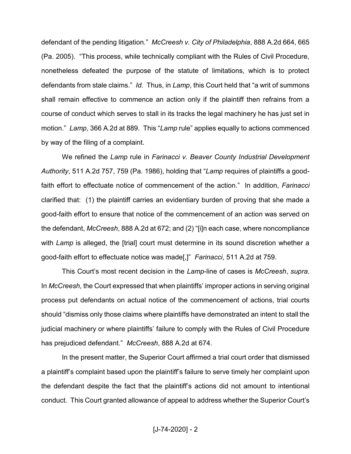defendant of the pending litigation." McCreesh v. City of Philadelphia, 888 A.2d 664, 665 (Pa. 2005). "This process, while technically compliant with the Rules of Civil Procedure, nonetheless defeated the purpose of the statute of limitations, which is to protect defendants from stale claims." *Id.* Thus, in *Lamp*, this Court held that "a writ of summons shall remain effective to commence an action only if the plaintiff then refrains from a course of conduct which serves to stall in its tracks the legal machinery he has just set in motion.<sup>"</sup> *Lamp*, 366 A.2d at 889. This "*Lamp* rule" applies equally to actions commenced by way of the filing of a complaint.

We refined the *Lamp* rule in *Farinacci v. Beaver County Industrial Development Authority*, 511 A.2d 757, 759 (Pa. 1986), holding that *"Lamp* requires of plaintiffs a goodfaith effort to effectuate notice of commencement of the action.<sup>"</sup> In addition, *Farinacci* clarified that: (1) the plaintiff carries an evidentiary burden of proving that she made a good-faith effort to ensure that notice of the commencement of an action was served on the defendant, *McCreesh*, 888 A.2d at 672; and (2) "[i]n each case, where noncompliance with *Lamp* is alleged, the [trial] court must determine in its sound discretion whether a good-faith effort to effectuate notice was made[,]" Farinacci, 511 A.2d at 759.

This Court's most recent decision in the Lamp-line of cases is *McCreesh*, *supra*. In *McCreesh*, the Court expressed that when plaintiffs' improper actions in serving original process put defendants on actual notice of the commencement of actions, trial courts should "dismiss only those claims where plaintiffs have demonstrated an intent to stall the judicial machinery or where plaintiffs' failure to comply with the Rules of Civil Procedure has prejudiced defendant." McCreesh, 888 A.2d at 674.

In the present matter, the Superior Court affirmed a trial court order that dismissed a plaintiff's complaint based upon the plaintiff's failure to serve timely her complaint upon the defendant despite the fact that the plaintiff's actions did not amount to intentional conduct. This Court granted allowance of appeal to address whether the Superior Court's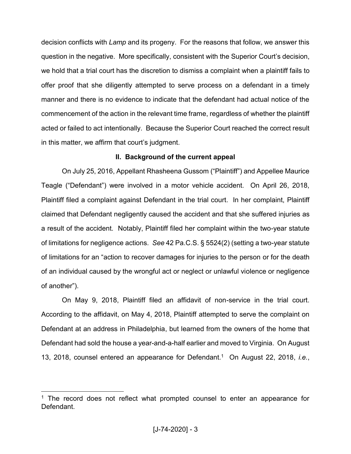decision conflicts with *Lamp* and its progeny. For the reasons that follow, we answer this question in the negative. More specifically, consistent with the Superior Court's decision, we hold that a trial court has the discretion to dismiss a complaint when a plaintiff fails to offer proof that she diligently attempted to serve process on a defendant in a timely manner and there is no evidence to indicate that the defendant had actual notice of the commencement of the action in the relevant time frame, regardless of whether the plaintiff acted or failed to act intentionally. Because the Superior Court reached the correct result in this matter, we affirm that court's judgment.

## **II. Background of the current appeal**

On July 25, 2016, Appellant Rhasheena Gussom ("Plaintiff") and Appellee Maurice Teagle ("Defendant") were involved in a motor vehicle accident. On April 26, 2018, Plaintiff filed a complaint against Defendant in the trial court. In her complaint, Plaintiff claimed that Defendant negligently caused the accident and that she suffered injuries as a result of the accident. Notably, Plaintiff filed her complaint within the two-year statute of limitations for negligence actions. *See* 42 Pa.C.S. § 5524(2) (setting a two-year statute of limitations for an "action to recover damages for injuries to the person or for the death of an individual caused by the wrongful act or neglect or unlawful violence or negligence of another").

On May 9, 2018, Plaintiff filed an affidavit of non-service in the trial court. According to the affidavit, on May 4, 2018, Plaintiff attempted to serve the complaint on Defendant at an address in Philadelphia, but learned from the owners of the home that Defendant had sold the house a year-and-a-half earlier and moved to Virginia. On August 13, 2018, counsel entered an appearance for Defendant.1 On August 22, 2018, *i.e.*,

 $1$  The record does not reflect what prompted counsel to enter an appearance for **Defendant**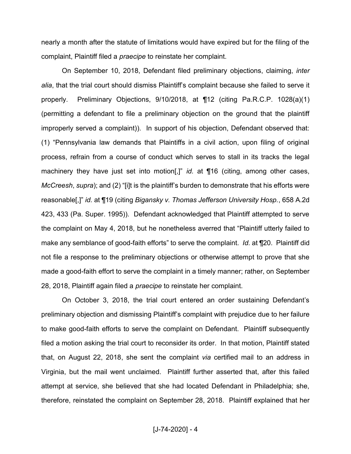nearly a month after the statute of limitations would have expired but for the filing of the complaint, Plaintiff filed a *praecipe* to reinstate her complaint.

On September 10, 2018, Defendant filed preliminary objections, claiming, *inter alia*, that the trial court should dismiss Plaintiff's complaint because she failed to serve it properly. Preliminary Objections, 9/10/2018, at ¶12 (citing Pa.R.C.P. 1028(a)(1) (permitting a defendant to file a preliminary objection on the ground that the plaintiff improperly served a complaint)). In support of his objection, Defendant observed that: (1) "Pennsylvania law demands that Plaintiffs in a civil action, upon filing of original process, refrain from a course of conduct which serves to stall in its tracks the legal machinery they have just set into motion<sup>[1]</sup> id. at ¶16 (citing, among other cases, *McCreesh, supra*); and (2) "[i]t is the plaintiff's burden to demonstrate that his efforts were reasonable<sup>[1]</sup> *id.* at ¶19 (citing *Bigansky v. Thomas Jefferson University Hosp.*, 658 A.2d 423, 433 (Pa. Super. 1995)). Defendant acknowledged that Plaintiff attempted to serve the complaint on May 4, 2018, but he nonetheless averred that "Plaintiff utterly failed to make any semblance of good-faith efforts" to serve the complaint. *Id.* at ¶20. Plaintiff did not file a response to the preliminary objections or otherwise attempt to prove that she made a good-faith effort to serve the complaint in a timely manner; rather, on September 28, 2018, Plaintiff again filed a *praecipe* to reinstate her complaint.

On October 3, 2018, the trial court entered an order sustaining Defendant's preliminary objection and dismissing Plaintiff's complaint with prejudice due to her failure to make good-faith efforts to serve the complaint on Defendant. Plaintiff subsequently filed a motion asking the trial court to reconsider its order. In that motion, Plaintiff stated that, on August 22, 2018, she sent the complaint *via* certified mail to an address in Virginia, but the mail went unclaimed. Plaintiff further asserted that, after this failed attempt at service, she believed that she had located Defendant in Philadelphia; she, therefore, reinstated the complaint on September 28, 2018. Plaintiff explained that her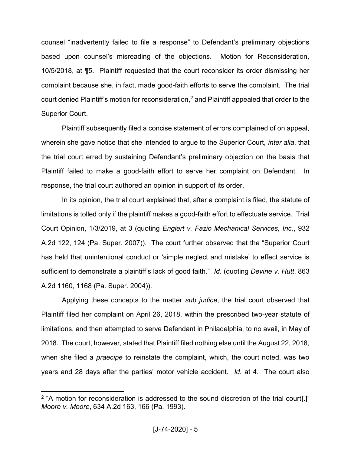counsel "inadvertently failed to file a response" to Defendant's preliminary objections based upon counsel's misreading of the objections. Motion for Reconsideration, 10/5/2018, at ¶5. Plaintiff requested that the court reconsider its order dismissing her complaint because she, in fact, made good-faith efforts to serve the complaint. The trial court denied Plaintiff's motion for reconsideration,<sup>2</sup> and Plaintiff appealed that order to the Superior Court.

Plaintiff subsequently filed a concise statement of errors complained of on appeal, wherein she gave notice that she intended to argue to the Superior Court, *inter alia*, that the trial court erred by sustaining Defendant's preliminary objection on the basis that Plaintiff failed to make a good-faith effort to serve her complaint on Defendant. In response, the trial court authored an opinion in support of its order.

In its opinion, the trial court explained that, after a complaint is filed, the statute of limitations is tolled only if the plaintiff makes a good-faith effort to effectuate service. Trial Court Opinion, 1/3/2019, at 3 (quoting *Englert v. Fazio Mechanical Services, Inc.*, 932 A.2d 122, 124 (Pa. Super. 2007)). The court further observed that the "Superior Court has held that unintentional conduct or 'simple neglect and mistake' to effect service is sufficient to demonstrate a plaintiff's lack of good faith." *Id.* (quoting *Devine v. Hutt*, 863 A.2d 1160, 1168 (Pa. Super. 2004)).

Applying these concepts to the matter *sub judice*, the trial court observed that Plaintiff filed her complaint on April 26, 2018, within the prescribed two-year statute of limitations, and then attempted to serve Defendant in Philadelphia, to no avail, in May of 2018. The court, however, stated that Plaintiff filed nothing else until the August 22, 2018, when she filed a *praecipe* to reinstate the complaint, which, the court noted, was two years and 28 days after the parties' motor vehicle accident. *Id.* at 4. The court also

 $2$  "A motion for reconsideration is addressed to the sound discretion of the trial court[.]" *Moore v. Moore*, 634 A.2d 163, 166 (Pa. 1993).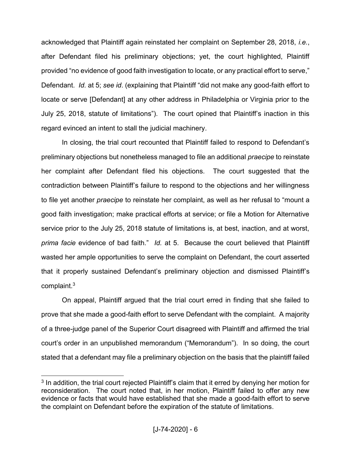acknowledged that Plaintiff again reinstated her complaint on September 28, 2018, *i.e.*, after Defendant filed his preliminary objections; yet, the court highlighted, Plaintiff provided "no evidence of good faith investigation to locate, or any practical effort to serve," Defendant. *Id.* at 5; see *id.* (explaining that Plaintiff "did not make any good-faith effort to locate or serve [Defendant] at any other address in Philadelphia or Virginia prior to the July 25, 2018, statute of limitations"). The court opined that Plaintiff's inaction in this regard evinced an intent to stall the judicial machinery.

In closing, the trial court recounted that Plaintiff failed to respond to Defendant's preliminary objections but nonetheless managed to file an additional *praecipe* to reinstate her complaint after Defendant filed his objections. The court suggested that the contradiction between Plaintiff's failure to respond to the objections and her willingness to file yet another *praecipe* to reinstate her complaint, as well as her refusal to "mount a good faith investigation; make practical efforts at service; or file a Motion for Alternative service prior to the July 25, 2018 statute of limitations is, at best, inaction, and at worst, *prima facie* evidence of bad faith.<sup>"</sup> *Id.* at 5. Because the court believed that Plaintiff wasted her ample opportunities to serve the complaint on Defendant, the court asserted that it properly sustained Defendant's preliminary objection and dismissed Plaintiff's complaint.3

On appeal, Plaintiff argued that the trial court erred in finding that she failed to prove that she made a good-faith effort to serve Defendant with the complaint. A majority of a three-judge panel of the Superior Court disagreed with Plaintiff and affirmed the trial court's order in an unpublished memorandum ("Memorandum"). In so doing, the court stated that a defendant may file a preliminary objection on the basis that the plaintiff failed

 $3$  In addition, the trial court rejected Plaintiff's claim that it erred by denying her motion for reconsideration. The court noted that, in her motion, Plaintiff failed to offer any new evidence or facts that would have established that she made a good-faith effort to serve the complaint on Defendant before the expiration of the statute of limitations.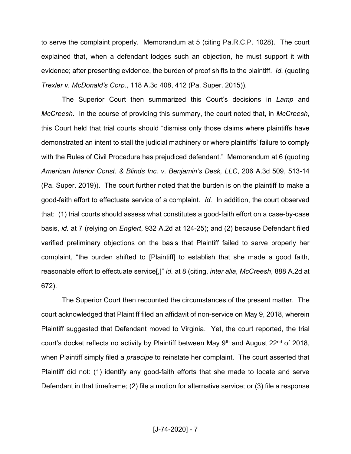to serve the complaint properly. Memorandum at 5 (citing Pa.R.C.P. 1028). The court explained that, when a defendant lodges such an objection, he must support it with evidence; after presenting evidence, the burden of proof shifts to the plaintiff. *Id.* (quoting *Trexler v. McDonald's Corp.*, 118 A.3d 408, 412 (Pa. Super. 2015)).

The Superior Court then summarized this Court's decisions in Lamp and *McCreesh*. In the course of providing this summary, the court noted that, in *McCreesh*, this Court held that trial courts should "dismiss only those claims where plaintiffs have demonstrated an intent to stall the judicial machinery or where plaintiffs' failure to comply with the Rules of Civil Procedure has prejudiced defendant." Memorandum at 6 (quoting American Interior Const. & Blinds Inc. v. Benjamin's Desk, LLC, 206 A.3d 509, 513-14 (Pa. Super. 2019)). The court further noted that the burden is on the plaintiff to make a good-faith effort to effectuate service of a complaint. *Id.* In addition, the court observed that: (1) trial courts should assess what constitutes a good-faith effort on a case-by-case basis, *id.* at 7 (relying on *Englert*, 932 A.2d at 124-25); and (2) because Defendant filed verified preliminary objections on the basis that Plaintiff failed to serve properly her complaint, "the burden shifted to  $[Plaintiff]$  to establish that she made a good faith, reasonable effort to effectuate service<sup>[1]</sup> *id.* at 8 (citing, *inter alia*, *McCreesh*, 888 A.2d at 672).

The Superior Court then recounted the circumstances of the present matter. The court acknowledged that Plaintiff filed an affidavit of non-service on May 9, 2018, wherein Plaintiff suggested that Defendant moved to Virginia. Yet, the court reported, the trial court's docket reflects no activity by Plaintiff between May 9<sup>th</sup> and August 22<sup>nd</sup> of 2018, when Plaintiff simply filed a *praecipe* to reinstate her complaint. The court asserted that Plaintiff did not: (1) identify any good-faith efforts that she made to locate and serve Defendant in that timeframe; (2) file a motion for alternative service; or (3) file a response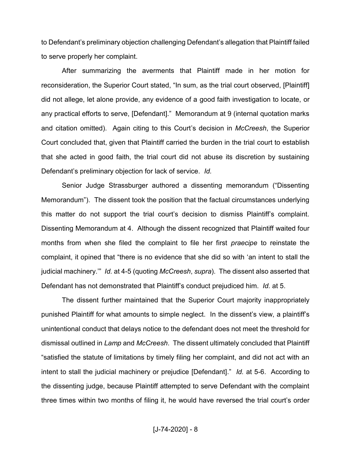to Defendant's preliminary objection challenging Defendant's allegation that Plaintiff failed to serve properly her complaint.

After summarizing the averments that Plaintiff made in her motion for reconsideration, the Superior Court stated, "In sum, as the trial court observed, [Plaintiff] did not allege, let alone provide, any evidence of a good faith investigation to locate, or any practical efforts to serve, [Defendant]." Memorandum at 9 (internal quotation marks and citation omitted). Again citing to this Court's decision in *McCreesh*, the Superior Court concluded that, given that Plaintiff carried the burden in the trial court to establish that she acted in good faith, the trial court did not abuse its discretion by sustaining Defendant's preliminary objection for lack of service. *Id.* 

Senior Judge Strassburger authored a dissenting memorandum ("Dissenting Memorandum<sup>"</sup>). The dissent took the position that the factual circumstances underlying this matter do not support the trial court's decision to dismiss Plaintiff's complaint. Dissenting Memorandum at 4. Although the dissent recognized that Plaintiff waited four months from when she filed the complaint to file her first *praecipe* to reinstate the complaint, it opined that "there is no evidence that she did so with 'an intent to stall the judicial machinery.<sup>37</sup> *Id.* at 4-5 (quoting *McCreesh, supra*). The dissent also asserted that Defendant has not demonstrated that Plaintiff's conduct prejudiced him. *Id.* at 5.

The dissent further maintained that the Superior Court majority inappropriately punished Plaintiff for what amounts to simple neglect. In the dissent's view, a plaintiff's unintentional conduct that delays notice to the defendant does not meet the threshold for dismissal outlined in *Lamp* and *McCreesh*. The dissent ultimately concluded that Plaintiff "satisfied the statute of limitations by timely filing her complaint, and did not act with an intent to stall the judicial machinery or prejudice [Defendant].´ *Id.* at 5-6. According to the dissenting judge, because Plaintiff attempted to serve Defendant with the complaint three times within two months of filing it, he would have reversed the trial court's order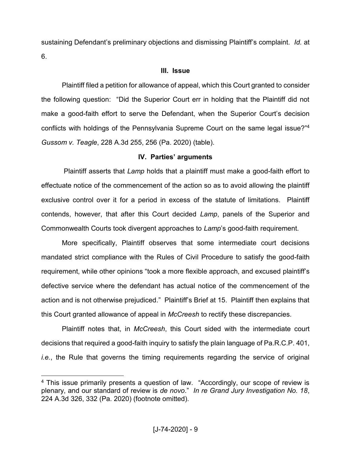sustaining Defendant's preliminary objections and dismissing Plaintiff's complaint. *Id.* at 6.

# **III. Issue**

Plaintiff filed a petition for allowance of appeal, which this Court granted to consider the following question: "Did the Superior Court err in holding that the Plaintiff did not make a good-faith effort to serve the Defendant, when the Superior Court's decision conflicts with holdings of the Pennsylvania Supreme Court on the same legal issue?"<sup>4</sup> *Gussom v. Teagle*, 228 A.3d 255, 256 (Pa. 2020) (table).

# **IV. Parties' arguments**

Plaintiff asserts that *Lamp* holds that a plaintiff must make a good-faith effort to effectuate notice of the commencement of the action so as to avoid allowing the plaintiff exclusive control over it for a period in excess of the statute of limitations. Plaintiff contends, however, that after this Court decided *Lamp*, panels of the Superior and Commonwealth Courts took divergent approaches to *Lamp*'s good-faith requirement.

More specifically, Plaintiff observes that some intermediate court decisions mandated strict compliance with the Rules of Civil Procedure to satisfy the good-faith requirement, while other opinions "took a more flexible approach, and excused plaintiff's defective service where the defendant has actual notice of the commencement of the action and is not otherwise prejudiced." Plaintiff's Brief at 15. Plaintiff then explains that this Court granted allowance of appeal in *McCreesh* to rectify these discrepancies.

Plaintiff notes that, in *McCreesh*, this Court sided with the intermediate court decisions that required a good-faith inquiry to satisfy the plain language of Pa.R.C.P. 401, *i.e.*, the Rule that governs the timing requirements regarding the service of original

 $4$  This issue primarily presents a question of law. "Accordingly, our scope of review is plenary, and our standard of review is *de novo*.´ *In re Grand Jury Investigation No. 18*, 224 A.3d 326, 332 (Pa. 2020) (footnote omitted).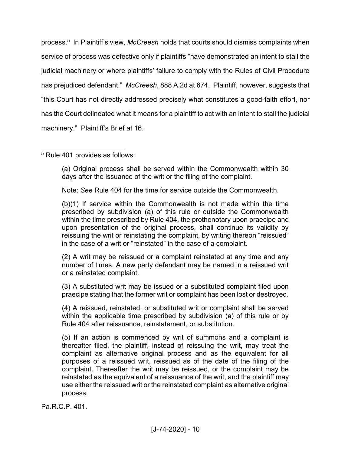process.<sup>5</sup> In Plaintiff's view, *McCreesh* holds that courts should dismiss complaints when service of process was defective only if plaintiffs "have demonstrated an intent to stall the judicial machinery or where plaintiffs' failure to comply with the Rules of Civil Procedure has prejudiced defendant." McCreesh, 888 A.2d at 674. Plaintiff, however, suggests that ³this Court has not directly addressed precisely what constitutes a good-faith effort, nor has the Court delineated what it means for a plaintiff to act with an intent to stall the judicial machinery." Plaintiff's Brief at 16.

5 Rule 401 provides as follows:

(a) Original process shall be served within the Commonwealth within 30 days after the issuance of the writ or the filing of the complaint.

Note: *See* Rule 404 for the time for service outside the Commonwealth.

(b)(1) If service within the Commonwealth is not made within the time prescribed by subdivision (a) of this rule or outside the Commonwealth within the time prescribed by Rule 404, the prothonotary upon praecipe and upon presentation of the original process, shall continue its validity by reissuing the writ or reinstating the complaint, by writing thereon "reissued" in the case of a writ or "reinstated" in the case of a complaint.

(2) A writ may be reissued or a complaint reinstated at any time and any number of times. A new party defendant may be named in a reissued writ or a reinstated complaint.

(3) A substituted writ may be issued or a substituted complaint filed upon praecipe stating that the former writ or complaint has been lost or destroyed.

(4) A reissued, reinstated, or substituted writ or complaint shall be served within the applicable time prescribed by subdivision (a) of this rule or by Rule 404 after reissuance, reinstatement, or substitution.

(5) If an action is commenced by writ of summons and a complaint is thereafter filed, the plaintiff, instead of reissuing the writ, may treat the complaint as alternative original process and as the equivalent for all purposes of a reissued writ, reissued as of the date of the filing of the complaint. Thereafter the writ may be reissued, or the complaint may be reinstated as the equivalent of a reissuance of the writ, and the plaintiff may use either the reissued writ or the reinstated complaint as alternative original process.

Pa.R.C.P. 401.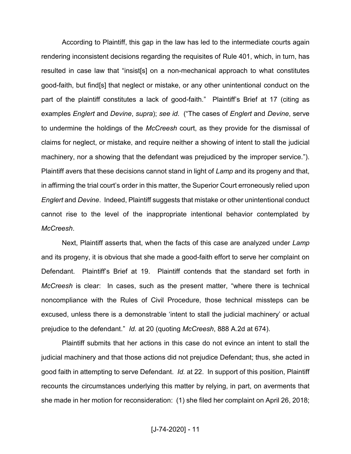According to Plaintiff, this gap in the law has led to the intermediate courts again rendering inconsistent decisions regarding the requisites of Rule 401, which, in turn, has resulted in case law that "insist[s] on a non-mechanical approach to what constitutes good-faith, but find[s] that neglect or mistake, or any other unintentional conduct on the part of the plaintiff constitutes a lack of good-faith." Plaintiff's Brief at 17 (citing as examples *Englert* and *Devine*, *supra*); *see id*. (³The cases of *Englert* and *Devine*, serve to undermine the holdings of the *McCreesh* court, as they provide for the dismissal of claims for neglect, or mistake, and require neither a showing of intent to stall the judicial machinery, nor a showing that the defendant was prejudiced by the improper service.´). Plaintiff avers that these decisions cannot stand in light of *Lamp* and its progeny and that, in affirming the trial court's order in this matter, the Superior Court erroneously relied upon *Englert* and *Devine*. Indeed, Plaintiff suggests that mistake or other unintentional conduct cannot rise to the level of the inappropriate intentional behavior contemplated by *McCreesh*.

Next, Plaintiff asserts that, when the facts of this case are analyzed under *Lamp*  and its progeny, it is obvious that she made a good-faith effort to serve her complaint on Defendant. Plaintiff's Brief at 19. Plaintiff contends that the standard set forth in *McCreesh* is clear: In cases, such as the present matter, "where there is technical noncompliance with the Rules of Civil Procedure, those technical missteps can be excused, unless there is a demonstrable 'intent to stall the judicial machinery' or actual prejudice to the defendant.´ *Id.* at 20 (quoting *McCreesh*, 888 A.2d at 674).

Plaintiff submits that her actions in this case do not evince an intent to stall the judicial machinery and that those actions did not prejudice Defendant; thus, she acted in good faith in attempting to serve Defendant. *Id.* at 22. In support of this position, Plaintiff recounts the circumstances underlying this matter by relying, in part, on averments that she made in her motion for reconsideration: (1) she filed her complaint on April 26, 2018;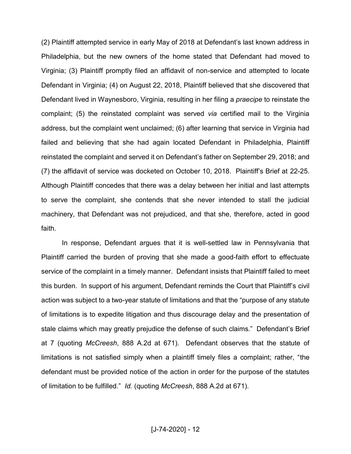$(2)$  Plaintiff attempted service in early May of 2018 at Defendant's last known address in Philadelphia, but the new owners of the home stated that Defendant had moved to Virginia; (3) Plaintiff promptly filed an affidavit of non-service and attempted to locate Defendant in Virginia; (4) on August 22, 2018, Plaintiff believed that she discovered that Defendant lived in Waynesboro, Virginia, resulting in her filing a *praecipe* to reinstate the complaint; (5) the reinstated complaint was served *via* certified mail to the Virginia address, but the complaint went unclaimed; (6) after learning that service in Virginia had failed and believing that she had again located Defendant in Philadelphia, Plaintiff reinstated the complaint and served it on Defendant's father on September 29, 2018; and (7) the affidavit of service was docketed on October 10, 2018. Plaintiff's Brief at 22-25. Although Plaintiff concedes that there was a delay between her initial and last attempts to serve the complaint, she contends that she never intended to stall the judicial machinery, that Defendant was not prejudiced, and that she, therefore, acted in good faith.

In response, Defendant argues that it is well-settled law in Pennsylvania that Plaintiff carried the burden of proving that she made a good-faith effort to effectuate service of the complaint in a timely manner. Defendant insists that Plaintiff failed to meet this burden. In support of his argument, Defendant reminds the Court that Plaintiff's civil action was subject to a two-year statute of limitations and that the "purpose of any statute of limitations is to expedite litigation and thus discourage delay and the presentation of stale claims which may greatly prejudice the defense of such claims." Defendant's Brief at 7 (quoting *McCreesh*, 888 A.2d at 671). Defendant observes that the statute of limitations is not satisfied simply when a plaintiff timely files a complaint; rather, "the defendant must be provided notice of the action in order for the purpose of the statutes of limitation to be fulfilled.<sup>"</sup> *Id.* (quoting *McCreesh*, 888 A.2d at 671).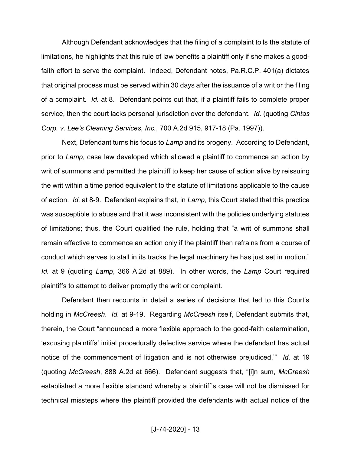Although Defendant acknowledges that the filing of a complaint tolls the statute of limitations, he highlights that this rule of law benefits a plaintiff only if she makes a goodfaith effort to serve the complaint. Indeed, Defendant notes, Pa.R.C.P. 401(a) dictates that original process must be served within 30 days after the issuance of a writ or the filing of a complaint. *Id.* at 8. Defendant points out that, if a plaintiff fails to complete proper service, then the court lacks personal jurisdiction over the defendant. *Id.* (quoting *Cintas Corp. v. Lee¶s Cleaning Services, Inc.*, 700 A.2d 915, 917-18 (Pa. 1997)).

Next, Defendant turns his focus to *Lamp* and its progeny. According to Defendant, prior to *Lamp*, case law developed which allowed a plaintiff to commence an action by writ of summons and permitted the plaintiff to keep her cause of action alive by reissuing the writ within a time period equivalent to the statute of limitations applicable to the cause of action. *Id.* at 8-9. Defendant explains that, in *Lamp*, this Court stated that this practice was susceptible to abuse and that it was inconsistent with the policies underlying statutes of limitations; thus, the Court qualified the rule, holding that "a writ of summons shall remain effective to commence an action only if the plaintiff then refrains from a course of conduct which serves to stall in its tracks the legal machinery he has just set in motion.<sup>"</sup> *Id.* at 9 (quoting *Lamp*, 366 A.2d at 889). In other words, the *Lamp* Court required plaintiffs to attempt to deliver promptly the writ or complaint.

Defendant then recounts in detail a series of decisions that led to this Court's holding in *McCreesh*. *Id.* at 9-19. Regarding *McCreesh* itself, Defendant submits that, therein, the Court "announced a more flexible approach to the good-faith determination, 'excusing plaintiffs' initial procedurally defective service where the defendant has actual notice of the commencement of litigation and is not otherwise prejudiced.<sup>"</sup> *Id.* at 19 (quoting *McCreesh*, 888 A.2d at 666). Defendant suggests that, "[i]n sum, *McCreesh* established a more flexible standard whereby a plaintiff's case will not be dismissed for technical missteps where the plaintiff provided the defendants with actual notice of the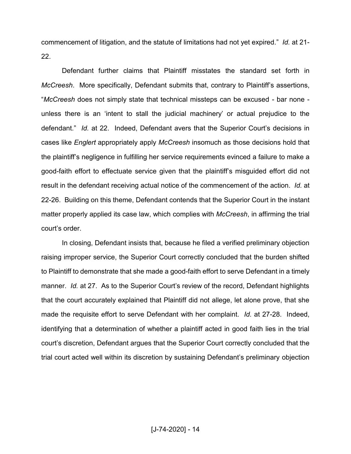commencement of litigation, and the statute of limitations had not yet expired." *Id.* at 21-22.

Defendant further claims that Plaintiff misstates the standard set forth in *McCreesh.* More specifically, Defendant submits that, contrary to Plaintiff's assertions, ³*McCreesh* does not simply state that technical missteps can be excused - bar none unless there is an 'intent to stall the judicial machinery' or actual prejudice to the defendant." *Id.* at 22. Indeed, Defendant avers that the Superior Court's decisions in cases like *Englert* appropriately apply *McCreesh* insomuch as those decisions hold that the plaintiff's negligence in fulfilling her service requirements evinced a failure to make a good-faith effort to effectuate service given that the plaintiff's misguided effort did not result in the defendant receiving actual notice of the commencement of the action. *Id.* at 22-26. Building on this theme, Defendant contends that the Superior Court in the instant matter properly applied its case law, which complies with *McCreesh*, in affirming the trial court's order.

In closing, Defendant insists that, because he filed a verified preliminary objection raising improper service, the Superior Court correctly concluded that the burden shifted to Plaintiff to demonstrate that she made a good-faith effort to serve Defendant in a timely manner. *Id.* at 27. As to the Superior Court's review of the record, Defendant highlights that the court accurately explained that Plaintiff did not allege, let alone prove, that she made the requisite effort to serve Defendant with her complaint. *Id.* at 27-28. Indeed, identifying that a determination of whether a plaintiff acted in good faith lies in the trial court's discretion, Defendant argues that the Superior Court correctly concluded that the trial court acted well within its discretion by sustaining Defendant's preliminary objection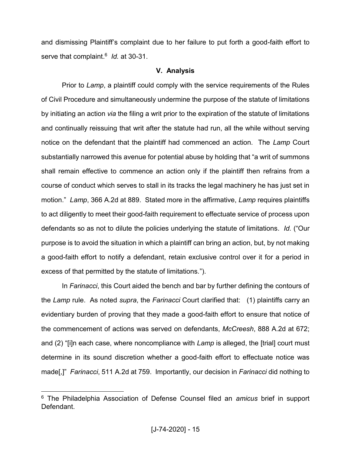and dismissing Plaintiff's complaint due to her failure to put forth a good-faith effort to serve that complaint. 6 *Id.* at 30-31.

# **V. Analysis**

Prior to *Lamp*, a plaintiff could comply with the service requirements of the Rules of Civil Procedure and simultaneously undermine the purpose of the statute of limitations by initiating an action *via* the filing a writ prior to the expiration of the statute of limitations and continually reissuing that writ after the statute had run, all the while without serving notice on the defendant that the plaintiff had commenced an action. The *Lamp* Court substantially narrowed this avenue for potential abuse by holding that "a writ of summons shall remain effective to commence an action only if the plaintiff then refrains from a course of conduct which serves to stall in its tracks the legal machinery he has just set in motion.´ *Lamp*, 366 A.2d at 889. Stated more in the affirmative, *Lamp* requires plaintiffs to act diligently to meet their good-faith requirement to effectuate service of process upon defendants so as not to dilute the policies underlying the statute of limitations. *Id.* ("Our purpose is to avoid the situation in which a plaintiff can bring an action, but, by not making a good-faith effort to notify a defendant, retain exclusive control over it for a period in excess of that permitted by the statute of limitations.´).

In *Farinacci*, this Court aided the bench and bar by further defining the contours of the *Lamp* rule. As noted *supra*, the *Farinacci* Court clarified that: (1) plaintiffs carry an evidentiary burden of proving that they made a good-faith effort to ensure that notice of the commencement of actions was served on defendants, *McCreesh*, 888 A.2d at 672; and (2) "[i]n each case, where noncompliance with *Lamp* is alleged, the [trial] court must determine in its sound discretion whether a good-faith effort to effectuate notice was made[,]" *Farinacci*, 511 A.2d at 759. Importantly, our decision in *Farinacci* did nothing to

 <sup>6</sup> The Philadelphia Association of Defense Counsel filed an *amicus* brief in support **Defendant**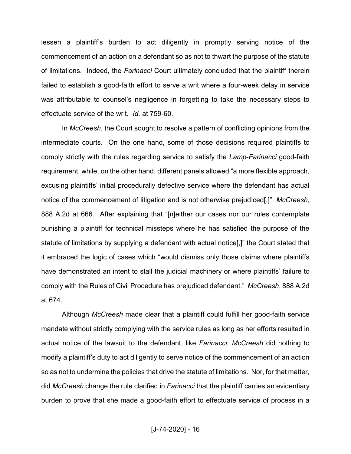lessen a plaintiff's burden to act diligently in promptly serving notice of the commencement of an action on a defendant so as not to thwart the purpose of the statute of limitations. Indeed, the *Farinacci* Court ultimately concluded that the plaintiff therein failed to establish a good-faith effort to serve a writ where a four-week delay in service was attributable to counsel's negligence in forgetting to take the necessary steps to effectuate service of the writ. *Id.* at 759-60.

In *McCreesh*, the Court sought to resolve a pattern of conflicting opinions from the intermediate courts. On the one hand, some of those decisions required plaintiffs to comply strictly with the rules regarding service to satisfy the *Lamp*-*Farinacci* good-faith requirement, while, on the other hand, different panels allowed "a more flexible approach, excusing plaintiffs' initial procedurally defective service where the defendant has actual notice of the commencement of litigation and is not otherwise prejudiced<sup>[1]</sup> *McCreesh*, 888 A.2d at 666. After explaining that "[n]either our cases nor our rules contemplate punishing a plaintiff for technical missteps where he has satisfied the purpose of the statute of limitations by supplying a defendant with actual notice[,]" the Court stated that it embraced the logic of cases which "would dismiss only those claims where plaintiffs have demonstrated an intent to stall the judicial machinery or where plaintiffs' failure to comply with the Rules of Civil Procedure has prejudiced defendant.´ *McCreesh*, 888 A.2d at 674.

Although *McCreesh* made clear that a plaintiff could fulfill her good-faith service mandate without strictly complying with the service rules as long as her efforts resulted in actual notice of the lawsuit to the defendant, like *Farinacci*, *McCreesh* did nothing to modify a plaintiff's duty to act diligently to serve notice of the commencement of an action so as not to undermine the policies that drive the statute of limitations. Nor, for that matter, did *McCreesh* change the rule clarified in *Farinacci* that the plaintiff carries an evidentiary burden to prove that she made a good-faith effort to effectuate service of process in a

[J-74-2020] - 16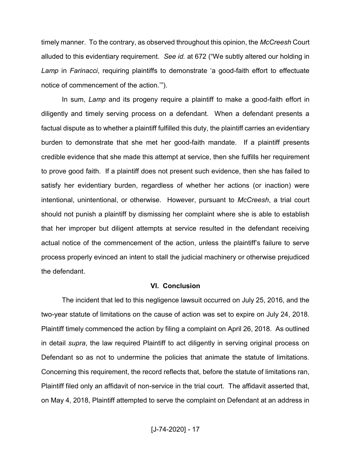timely manner. To the contrary, as observed throughout this opinion, the *McCreesh* Court alluded to this evidentiary requirement. See id. at 672 ("We subtly altered our holding in *Lamp* in *Farinacci*, requiring plaintiffs to demonstrate 'a good-faith effort to effectuate notice of commencement of the action."").

In sum, *Lamp* and its progeny require a plaintiff to make a good-faith effort in diligently and timely serving process on a defendant. When a defendant presents a factual dispute as to whether a plaintiff fulfilled this duty, the plaintiff carries an evidentiary burden to demonstrate that she met her good-faith mandate. If a plaintiff presents credible evidence that she made this attempt at service, then she fulfills her requirement to prove good faith. If a plaintiff does not present such evidence, then she has failed to satisfy her evidentiary burden, regardless of whether her actions (or inaction) were intentional, unintentional, or otherwise. However, pursuant to *McCreesh*, a trial court should not punish a plaintiff by dismissing her complaint where she is able to establish that her improper but diligent attempts at service resulted in the defendant receiving actual notice of the commencement of the action, unless the plaintiff's failure to serve process properly evinced an intent to stall the judicial machinery or otherwise prejudiced the defendant.

#### **VI. Conclusion**

The incident that led to this negligence lawsuit occurred on July 25, 2016, and the two-year statute of limitations on the cause of action was set to expire on July 24, 2018. Plaintiff timely commenced the action by filing a complaint on April 26, 2018. As outlined in detail *supra*, the law required Plaintiff to act diligently in serving original process on Defendant so as not to undermine the policies that animate the statute of limitations. Concerning this requirement, the record reflects that, before the statute of limitations ran, Plaintiff filed only an affidavit of non-service in the trial court. The affidavit asserted that, on May 4, 2018, Plaintiff attempted to serve the complaint on Defendant at an address in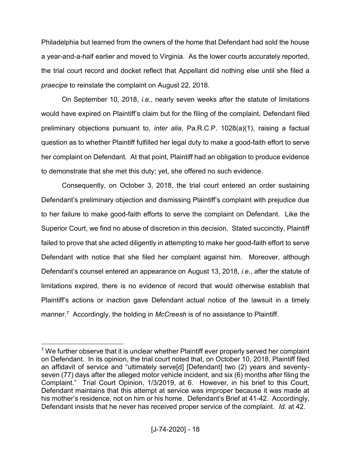Philadelphia but learned from the owners of the home that Defendant had sold the house a year-and-a-half earlier and moved to Virginia. As the lower courts accurately reported, the trial court record and docket reflect that Appellant did nothing else until she filed a *praecipe* to reinstate the complaint on August 22, 2018.

On September 10, 2018, *i.e.*, nearly seven weeks after the statute of limitations would have expired on Plaintiff's claim but for the filing of the complaint. Defendant filed preliminary objections pursuant to, *inter alia*, Pa.R.C.P. 1028(a)(1), raising a factual question as to whether Plaintiff fulfilled her legal duty to make a good-faith effort to serve her complaint on Defendant. At that point, Plaintiff had an obligation to produce evidence to demonstrate that she met this duty; yet, she offered no such evidence.

Consequently, on October 3, 2018, the trial court entered an order sustaining Defendant's preliminary objection and dismissing Plaintiff's complaint with prejudice due to her failure to make good-faith efforts to serve the complaint on Defendant. Like the Superior Court, we find no abuse of discretion in this decision. Stated succinctly, Plaintiff failed to prove that she acted diligently in attempting to make her good-faith effort to serve Defendant with notice that she filed her complaint against him. Moreover, although Defendant's counsel entered an appearance on August 13, 2018, *i.e.*, after the statute of limitations expired, there is no evidence of record that would otherwise establish that Plaintif is actions or inaction gave Defendant actual notice of the lawsuit in a timely manner. 7 Accordingly, the holding in *McCreesh* is of no assistance to Plaintiff.

<sup>&</sup>lt;sup>7</sup> We further observe that it is unclear whether Plaintiff ever properly served her complaint on Defendant. In its opinion, the trial court noted that, on October 10, 2018, Plaintiff filed an affidavit of service and "ultimately serve[d] [Defendant] two (2) years and seventyseven (77) days after the alleged motor vehicle incident, and six (6) months after filing the Complaint." Trial Court Opinion, 1/3/2019, at 6. However, in his brief to this Court, Defendant maintains that this attempt at service was improper because it was made at his mother's residence, not on him or his home. Defendant's Brief at 41-42. Accordingly, Defendant insists that he never has received proper service of the complaint. *Id.* at 42.